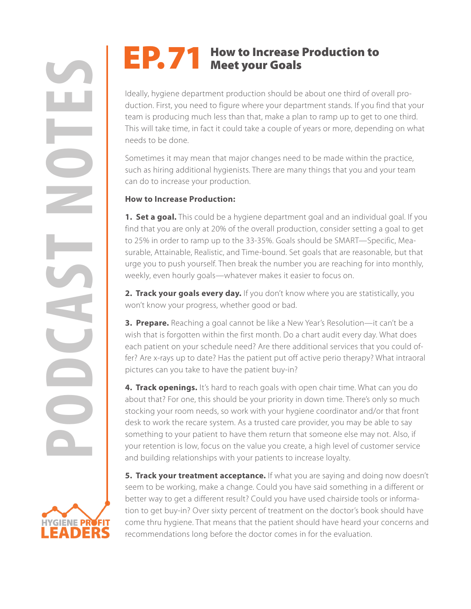## EP. 71 How to Increase Production to<br>Meet your Goals

Ideally, hygiene department production should be about one third of overall production. First, you need to figure where your department stands. If you find that your team is producing much less than that, make a plan to ramp up to get to one third. This will take time, in fact it could take a couple of years or more, depending on what needs to be done.

Sometimes it may mean that major changes need to be made within the practice, such as hiring additional hygienists. There are many things that you and your team can do to increase your production.

## **How to Increase Production:**

**1. Set a goal.** This could be a hygiene department goal and an individual goal. If you find that you are only at 20% of the overall production, consider setting a goal to get to 25% in order to ramp up to the 33-35%. Goals should be SMART—Specific, Measurable, Attainable, Realistic, and Time-bound. Set goals that are reasonable, but that urge you to push yourself. Then break the number you are reaching for into monthly, weekly, even hourly goals—whatever makes it easier to focus on.

2. Track your goals every day. If you don't know where you are statistically, you won't know your progress, whether good or bad.

**3. Prepare.** Reaching a goal cannot be like a New Year's Resolution—it can't be a wish that is forgotten within the first month. Do a chart audit every day. What does each patient on your schedule need? Are there additional services that you could offer? Are x-rays up to date? Has the patient put off active perio therapy? What intraoral pictures can you take to have the patient buy-in?

**PORTURE THEORY THEORY CONSULTERATION**<br> **PORTURE THEORY INCREDIT THEORY INTERNATION INCREDIT THEORY INTERNATION CONSULTERATION (FOR THE SURFACT IN 1990 INCREDIT THEORY INTERNATION INCREDIT THEORY IS 1990 INCREDIT SURFACT U 4. Track openings.** It's hard to reach goals with open chair time. What can you do about that? For one, this should be your priority in down time. There's only so much stocking your room needs, so work with your hygiene coordinator and/or that front desk to work the recare system. As a trusted care provider, you may be able to say something to your patient to have them return that someone else may not. Also, if your retention is low, focus on the value you create, a high level of customer service and building relationships with your patients to increase loyalty.

> **5. Track your treatment acceptance.** If what you are saying and doing now doesn't seem to be working, make a change. Could you have said something in a different or better way to get a different result? Could you have used chairside tools or information to get buy-in? Over sixty percent of treatment on the doctor's book should have come thru hygiene. That means that the patient should have heard your concerns and recommendations long before the doctor comes in for the evaluation.